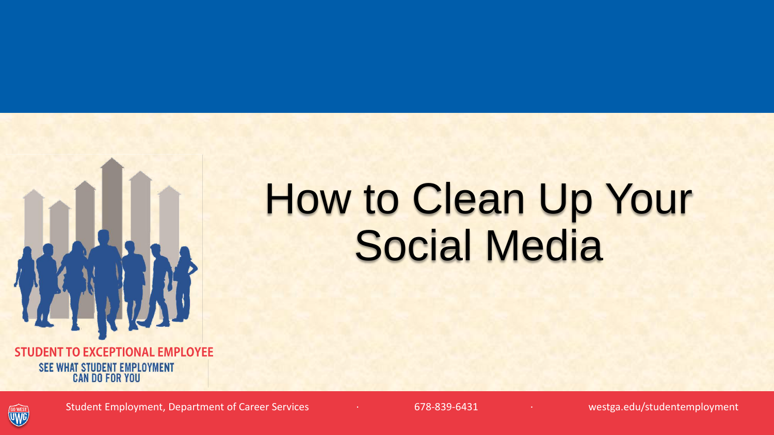

**STUDENT TO EXCEPTIONAL EMPLOYEE SEE WHAT STUDENT EMPLOYMENT CAN DO FOR YOU** 

#### **GO WEST**

Student Employment, Department of Career Services · · · · · · · · · 678-839-6431 · · · · · · · · · · · westga.edu/studentemployment

## How to Clean Up Your Social Media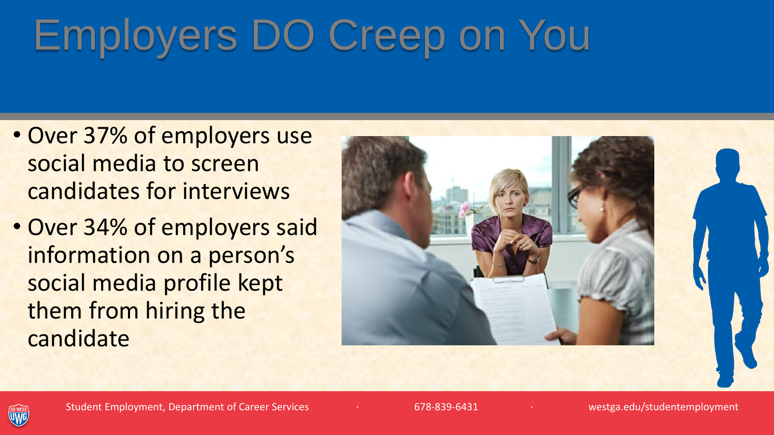# Employers DO Creep on You

- Over 37% of employers use social media to screen candidates for interviews
- Over 34% of employers said information on a person's social media profile kept them from hiring the candidate



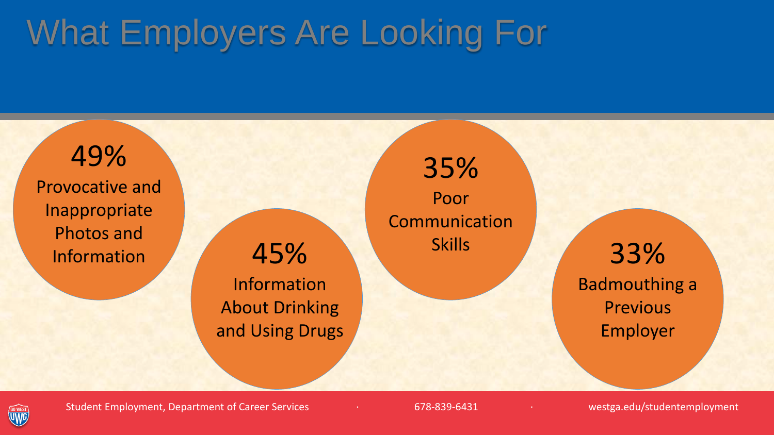## What Employers Are Looking For

49% Provocative and Inappropriate Photos and Information 45%

Information About Drinking and Using Drugs

35% Poor Communication

Skills 33% Badmouthing a **Previous** Employer

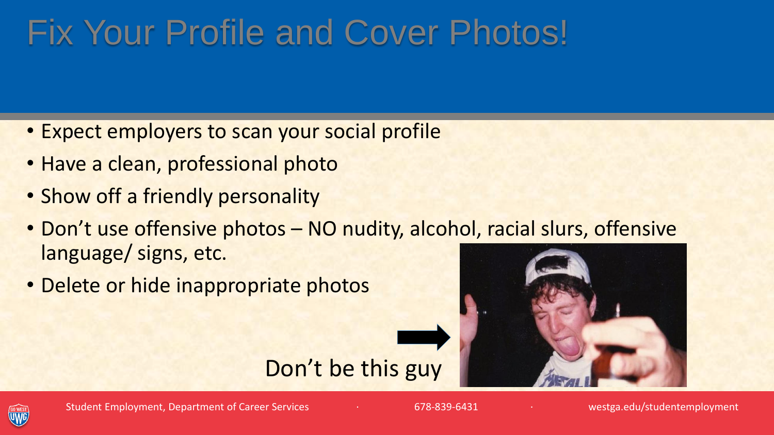#### Fix Your Profile and Cover Photos!

- Expect employers to scan your social profile
- Have a clean, professional photo
- Show off a friendly personality
- Don't use offensive photos NO nudity, alcohol, racial slurs, offensive language/ signs, etc.

Don't be this guy

• Delete or hide inappropriate photos



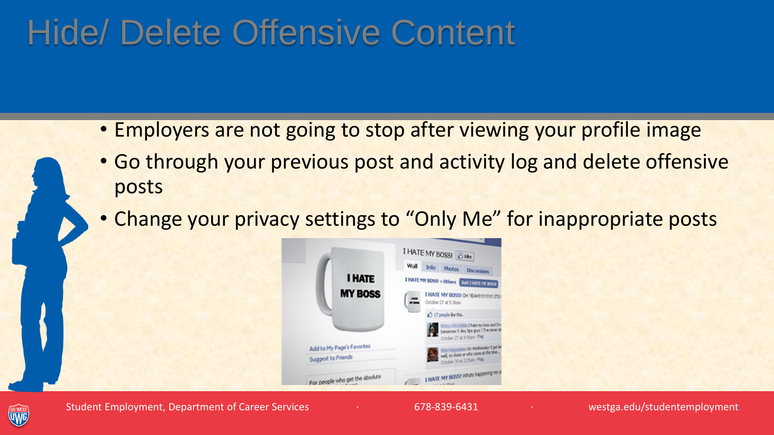#### Hide/ Delete Offensive Content

- Employers are not going to stop after viewing your profile image
- Go through your previous post and activity log and delete offensive posts
- Change your privacy settings to "Only Me" for inappropriate posts



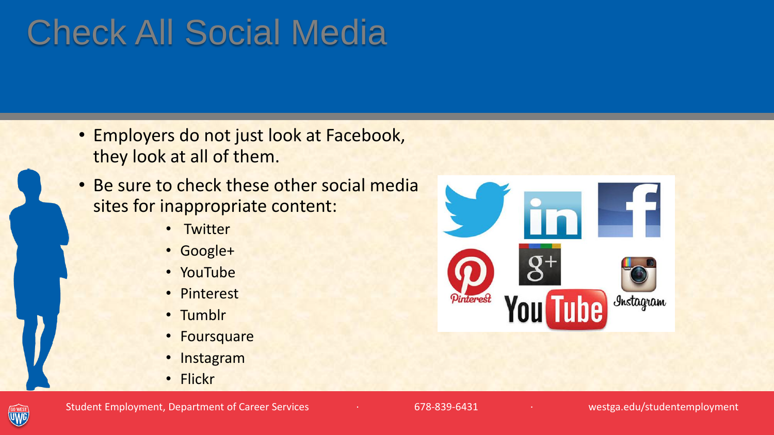## Check All Social Media

- Employers do not just look at Facebook, they look at all of them.
- Be sure to check these other social media sites for inappropriate content:
	- Twitter
	- Google+
	- YouTube
	- Pinterest
	- Tumblr
	- Foursquare
	- Instagram
	- Flickr





Student Employment, Department of Career Services · · · · · · · · · 678-839-6431 · · · · · · · · · · · westga.edu/studentemployment